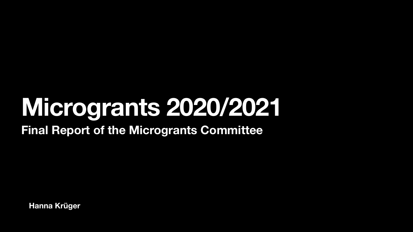**Hanna Krüger**

#### **Microgrants 2020/2021 Final Report of the Microgrants Committee**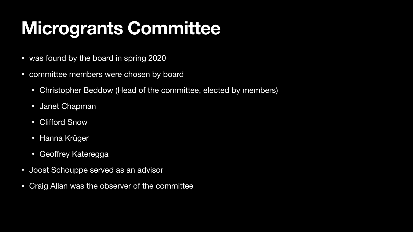### **Microgrants Committee**

- was found by the board in spring 2020
- committee members were chosen by board
	- Christopher Beddow (Head of the committee, elected by members)
	- Janet Chapman
	- Clifford Snow
	- Hanna Krüger
	- Geoffrey Kateregga
- Joost Schouppe served as an advisor
- Craig Allan was the observer of the committee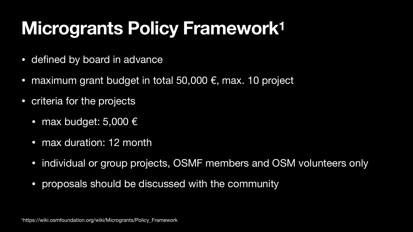# **Microgrants Policy Framework1**

- defined by board in advance
- maximum grant budget in total 50,000 €, max. 10 project
- criteria for the projects
	- max budget: 5,000 €
	- max duration: 12 month
	-
	- proposals should be discussed with the community

# • individual or group projects, OSMF members and OSM volunteers only

1https://wiki.osmfoundation.org/wiki/Microgrants/Policy\_Framework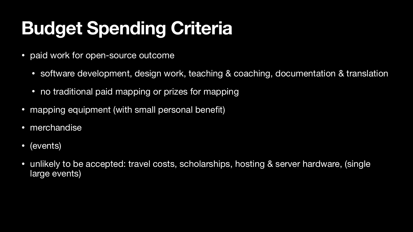# **Budget Spending Criteria**

- paid work for open-source outcome
	- software development, design work, teaching & coaching, documentation & translation
	- no traditional paid mapping or prizes for mapping
- mapping equipment (with small personal benefit)
- merchandise
- (events)
- unlikely to be accepted: travel costs, scholarships, hosting & server hardware, (single large events)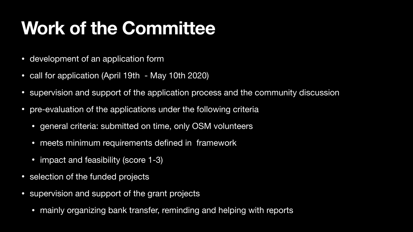### **Work of the Committee**

- development of an application form
- call for application (April 19th May 10th 2020)
- supervision and support of the application process and the community discussion
- pre-evaluation of the applications under the following criteria
	- general criteria: submitted on time, only OSM volunteers
	- meets minimum requirements defined in framework
	- impact and feasibility (score 1-3)
- selection of the funded projects
- supervision and support of the grant projects
	- mainly organizing bank transfer, reminding and helping with reports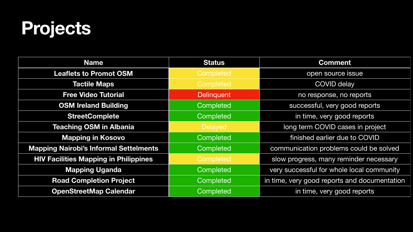#### **Projects**

| <b>Name</b>                                   | <b>Status</b>    | <b>Comment</b>                               |
|-----------------------------------------------|------------------|----------------------------------------------|
| <b>Leaflets to Promot OSM</b>                 | Completed        | open source issue                            |
| <b>Tactile Maps</b>                           | Completed        | <b>COVID delay</b>                           |
| <b>Free Video Tutorial</b>                    | Delinquent       | no response, no reports                      |
| <b>OSM Ireland Building</b>                   | Completed        | successful, very good reports                |
| <b>StreetComplete</b>                         | Completed        | in time, very good reports                   |
| <b>Teaching OSM in Albania</b>                | <b>Delayed</b>   | long term COVID cases in project             |
| <b>Mapping in Kosovo</b>                      | <b>Completed</b> | finished earlier due to COVID                |
| <b>Mapping Nairobi's Informal Settelments</b> | <b>Completed</b> | communication problems could be solved       |
| <b>HIV Facilities Mapping in Philippines</b>  | Completed        | slow progress, many reminder necessary       |
| <b>Mapping Uganda</b>                         | Completed        | very successful for whole local community    |
| <b>Road Completion Project</b>                | Completed        | in time, very good reports and documentation |
| <b>OpenStreetMap Calendar</b>                 | Completed        | in time, very good reports                   |
|                                               |                  |                                              |

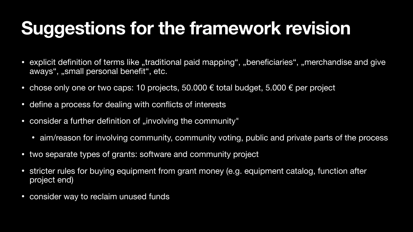## **Suggestions for the framework revision**

- explicit definition of terms like "traditional paid mapping", "beneficiaries", "merchandise and give aways", "small personal benefit", etc.
- chose only one or two caps: 10 projects, 50.000  $\epsilon$  total budget, 5.000  $\epsilon$  per project
- define a process for dealing with conflicts of interests
- consider a further definition of "involving the community"
	- aim/reason for involving community, community voting, public and private parts of the process
- two separate types of grants: software and community project
- stricter rules for buying equipment from grant money (e.g. equipment catalog, function after project end)
- consider way to reclaim unused funds